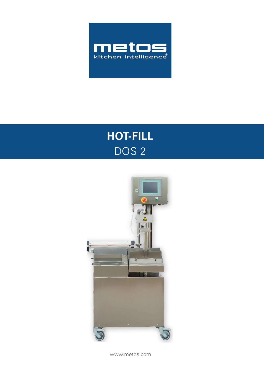

# **HOT-FILL** DOS<sub>2</sub>



www.metos.com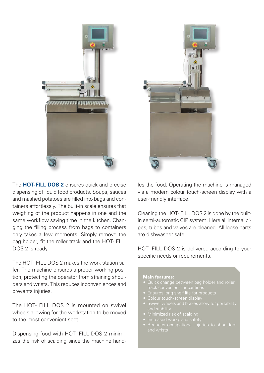

The **HOT-FILL DOS 2** ensures quick and precise dispensing of liquid food products. Soups, sauces and mashed potatoes are filled into bags and containers effortlessly. The built-in scale ensures that weighing of the product happens in one and the same workflow saving time in the kitchen. Changing the filling process from bags to containers only takes a few moments. Simply remove the bag holder, fit the roller track and the HOT- FILL DOS 2 is ready.

The HOT- FILL DOS 2 makes the work station safer. The machine ensures a proper working position, protecting the operator from straining shoulders and wrists. This reduces inconveniences and prevents injuries.

The HOT- FILL DOS 2 is mounted on swivel wheels allowing for the workstation to be moved to the most convenient spot.

Dispensing food with HOT- FILL DOS 2 minimizes the risk of scalding since the machine hand-



les the food. Operating the machine is managed via a modern colour touch-screen display with a user-friendly interface.

Cleaning the HOT- FILL DOS 2 is done by the builtin semi-automatic CIP system. Here all internal pipes, tubes and valves are cleaned. All loose parts are dishwasher safe.

HOT- FILL DOS 2 is delivered according to your specific needs or requirements.

#### **Main features:**

- 
- 
- 
- and stability
- Minimized risk of scalding
- Increased workplace safety
-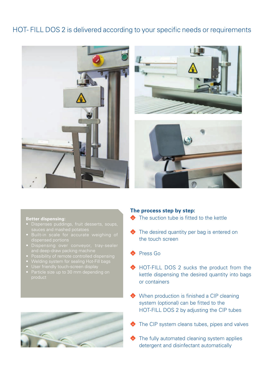## HOT- FILL DOS 2 is delivered according to your specific needs or requirements



#### **Better dispensing:**

- • Dispenses puddings, fruit desserts, soups,
- dispensed portions
- 
- 
- 
- 
- Particle size up to 30 mm depending on



#### **The process step by step:**

- The suction tube is fitted to the kettle
- The desired quantity per bag is entered on  $\bullet$ the touch screen
- Press Go
- ◆ HOT-FILL DOS 2 sucks the product from the kettle dispensing the desired quantity into bags or containers
- When production is finished a CIP cleaning system (optional) can be fitted to the HOT-FILL DOS 2 by adjusting the CIP tubes
- The CIP system cleans tubes, pipes and valves
- $\blacklozenge$  The fully automated cleaning system applies detergent and disinfectant automatically